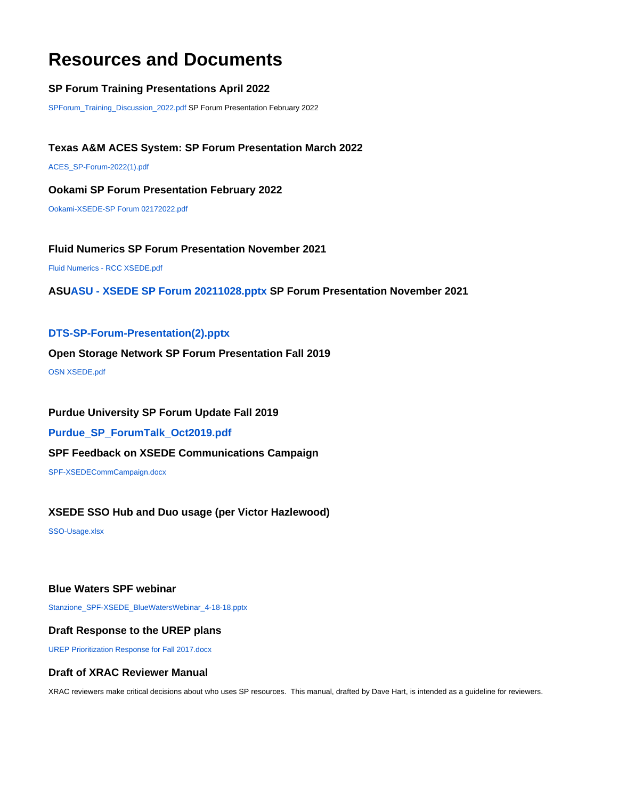# **Resources and Documents**

# **SP Forum Training Presentations April 2022**

[SPForum\\_Training\\_Discussion\\_2022.pdf](https://confluence.xsede.org/download/attachments/5735148/SPForum_Training_Discussion_2022.pdf?version=1&modificationDate=1650832868000&api=v2) SP Forum Presentation February 2022

# **Texas A&M ACES System: SP Forum Presentation March 2022**

[ACES\\_SP-Forum-2022\(1\).pdf](https://confluence.xsede.org/download/attachments/5735148/ACES_SP-Forum-2022%281%29.pdf?version=2&modificationDate=1650833094000&api=v2)

#### **Ookami SP Forum Presentation February 2022**

[Ookami-XSEDE-SP Forum 02172022.pdf](https://confluence.xsede.org/download/attachments/5735148/Ookami-XSEDE-SP%20Forum%2002172022.pdf?version=1&modificationDate=1645204661000&api=v2)

## **Fluid Numerics SP Forum Presentation November 2021**

[Fluid Numerics - RCC XSEDE.pdf](https://confluence.xsede.org/download/attachments/5735148/Fluid%20Numerics%20-%20RCC%20XSEDE.pdf?version=1&modificationDate=1645205739000&api=v2)

## **AS[UASU - XSEDE SP Forum 20211028.pptx](https://confluence.xsede.org/download/attachments/5735148/ASU%20-%20XSEDE%20SP%20Forum%2020211028.pptx?version=1&modificationDate=1650833240000&api=v2) SP Forum Presentation November 2021**

## **[DTS-SP-Forum-Presentation\(2\).pptx](https://confluence.xsede.org/download/attachments/5735148/DTS-SP-Forum-Presentation%282%29.pptx?version=1&modificationDate=1582221553000&api=v2)**

#### **Open Storage Network SP Forum Presentation Fall 2019**

[OSN XSEDE.pdf](https://confluence.xsede.org/download/attachments/5735148/OSN%20XSEDE.pdf?version=1&modificationDate=1573836370000&api=v2)

## **Purdue University SP Forum Update Fall 2019**

**[Purdue\\_SP\\_ForumTalk\\_Oct2019.pdf](https://confluence.xsede.org/download/attachments/5735148/Purdue_SP_ForumTalk_Oct2019.pdf?version=1&modificationDate=1573836260000&api=v2)**

#### **SPF Feedback on XSEDE Communications Campaign**

[SPF-XSEDECommCampaign.docx](https://confluence.xsede.org/download/attachments/5735148/SPF-XSEDECommCampaign.docx?version=2&modificationDate=1531324756000&api=v2)

#### **XSEDE SSO Hub and Duo usage (per Victor Hazlewood)**

[SSO-Usage.xlsx](https://confluence.xsede.org/download/attachments/5735148/SSO-Usage.xlsx?version=1&modificationDate=1526333850000&api=v2)

## **Blue Waters SPF webinar**

[Stanzione\\_SPF-XSEDE\\_BlueWatersWebinar\\_4-18-18.pptx](https://confluence.xsede.org/download/attachments/5735148/Stanzione_SPF-XSEDE_BlueWatersWebinar_4-18-18.pptx?version=1&modificationDate=1525474360000&api=v2)

#### **Draft Response to the UREP plans**

[UREP Prioritization Response for Fall 2017.docx](https://confluence.xsede.org/download/attachments/5735148/UREP%20Prioritization%20Response%20for%20Fall%202017.docx?version=1&modificationDate=1522955334000&api=v2)

# **Draft of XRAC Reviewer Manual**

XRAC reviewers make critical decisions about who uses SP resources. This manual, drafted by Dave Hart, is intended as a guideline for reviewers.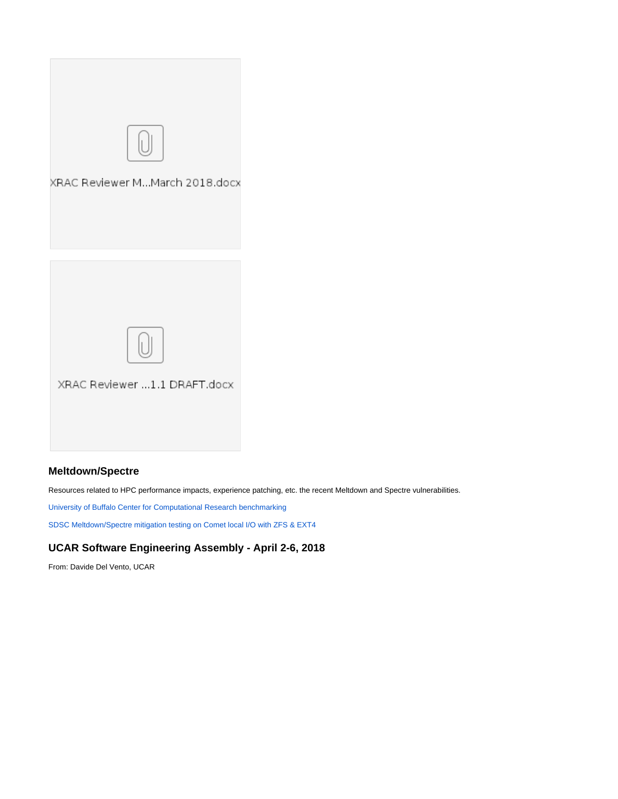

# **Meltdown/Spectre**

Resources related to HPC performance impacts, experience patching, etc. the recent Meltdown and Spectre vulnerabilities.

[University of Buffalo Center for Computational Research benchmarking](https://www.buffalo.edu/ccr/about-us/news-events.host.html/content/shared/www/ccr/ccr-news/ccr-measures-meltdown-spectre-impact.detail.html)

[SDSC Meltdown/Spectre mitigation testing on Comet local I/O with ZFS & EXT4](https://confluence.xsede.org/download/attachments/5735148/comet-scratch-fio-melt-spect.pdf?version=2&modificationDate=1520398635000&api=v2)

# **UCAR Software Engineering Assembly - April 2-6, 2018**

From: Davide Del Vento, UCAR